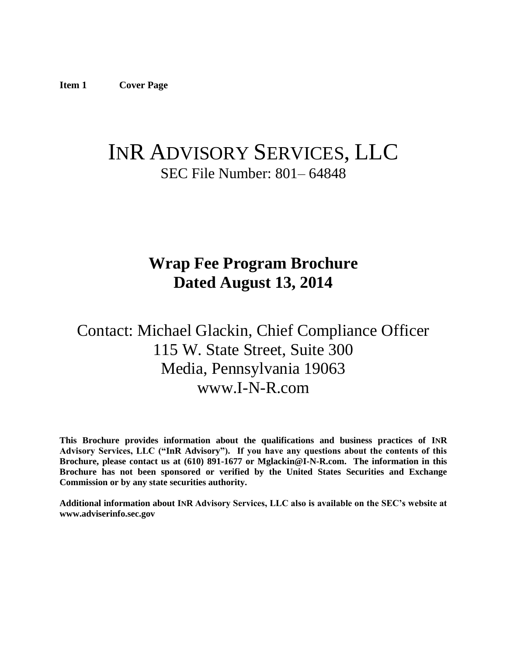# <span id="page-0-0"></span>INR ADVISORY SERVICES, LLC SEC File Number: 801– 64848

# **Wrap Fee Program Brochure Dated August 13, 2014**

# Contact: Michael Glackin, Chief Compliance Officer 115 W. State Street, Suite 300 Media, Pennsylvania 19063 www.I-N-R.com

**This Brochure provides information about the qualifications and business practices of INR Advisory Services, LLC ("InR Advisory"). If you have any questions about the contents of this Brochure, please contact us at (610) 891-1677 or Mglackin@I-N-R.com. The information in this Brochure has not been sponsored or verified by the United States Securities and Exchange Commission or by any state securities authority.**

**Additional information about INR Advisory Services, LLC also is available on the SEC's website at www.adviserinfo.sec.gov**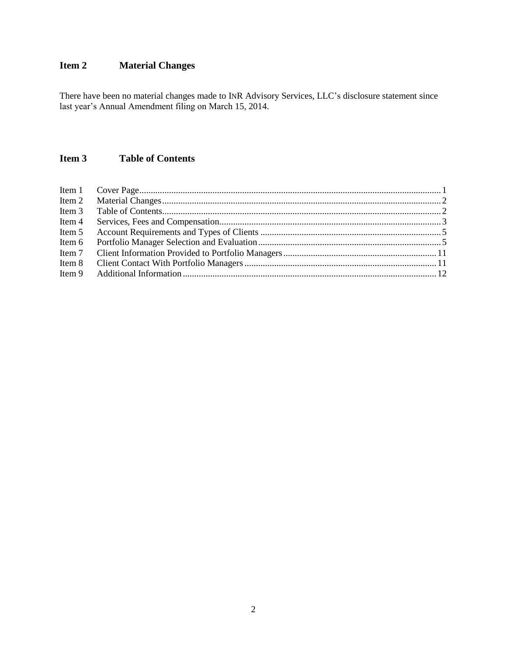# <span id="page-1-0"></span>**Item 2 Material Changes**

There have been no material changes made to INR Advisory Services, LLC's disclosure statement since last year's Annual Amendment filing on March 15, 2014.

# <span id="page-1-1"></span>**Item 3 Table of Contents**

| Item 2   |  |
|----------|--|
| Item 3   |  |
| Item 4   |  |
| Item 5   |  |
|          |  |
| Item $7$ |  |
| Item 8   |  |
|          |  |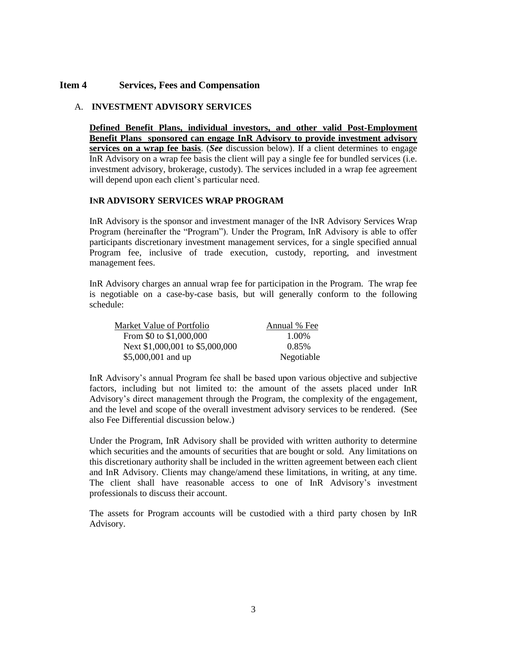# <span id="page-2-0"></span>**Item 4 Services, Fees and Compensation**

# A. **INVESTMENT ADVISORY SERVICES**

**Defined Benefit Plans, individual investors, and other valid Post-Employment Benefit Plans sponsored can engage InR Advisory to provide investment advisory services on a wrap fee basis**. (*See* discussion below). If a client determines to engage InR Advisory on a wrap fee basis the client will pay a single fee for bundled services (i.e. investment advisory, brokerage, custody). The services included in a wrap fee agreement will depend upon each client's particular need.

#### **INR ADVISORY SERVICES WRAP PROGRAM**

InR Advisory is the sponsor and investment manager of the INR Advisory Services Wrap Program (hereinafter the "Program"). Under the Program, InR Advisory is able to offer participants discretionary investment management services, for a single specified annual Program fee, inclusive of trade execution, custody, reporting, and investment management fees.

InR Advisory charges an annual wrap fee for participation in the Program. The wrap fee is negotiable on a case-by-case basis, but will generally conform to the following schedule:

| Market Value of Portfolio       | Annual % Fee |
|---------------------------------|--------------|
| From \$0 to \$1,000,000         | 1.00%        |
| Next \$1,000,001 to \$5,000,000 | 0.85%        |
| \$5,000,001 and up              | Negotiable   |

InR Advisory's annual Program fee shall be based upon various objective and subjective factors, including but not limited to: the amount of the assets placed under InR Advisory's direct management through the Program, the complexity of the engagement, and the level and scope of the overall investment advisory services to be rendered. (See also Fee Differential discussion below.)

Under the Program, InR Advisory shall be provided with written authority to determine which securities and the amounts of securities that are bought or sold. Any limitations on this discretionary authority shall be included in the written agreement between each client and InR Advisory. Clients may change/amend these limitations, in writing, at any time. The client shall have reasonable access to one of InR Advisory's investment professionals to discuss their account.

The assets for Program accounts will be custodied with a third party chosen by InR Advisory.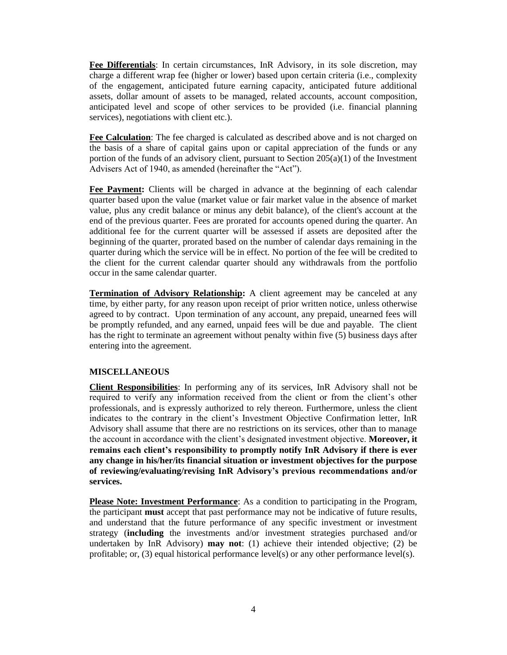**Fee Differentials**: In certain circumstances, InR Advisory, in its sole discretion, may charge a different wrap fee (higher or lower) based upon certain criteria (i.e., complexity of the engagement, anticipated future earning capacity, anticipated future additional assets, dollar amount of assets to be managed, related accounts, account composition, anticipated level and scope of other services to be provided (i.e. financial planning services), negotiations with client etc.).

**Fee Calculation**: The fee charged is calculated as described above and is not charged on the basis of a share of capital gains upon or capital appreciation of the funds or any portion of the funds of an advisory client, pursuant to Section 205(a)(1) of the Investment Advisers Act of 1940, as amended (hereinafter the "Act").

**Fee Payment:** Clients will be charged in advance at the beginning of each calendar quarter based upon the value (market value or fair market value in the absence of market value, plus any credit balance or minus any debit balance), of the client's account at the end of the previous quarter. Fees are prorated for accounts opened during the quarter. An additional fee for the current quarter will be assessed if assets are deposited after the beginning of the quarter, prorated based on the number of calendar days remaining in the quarter during which the service will be in effect. No portion of the fee will be credited to the client for the current calendar quarter should any withdrawals from the portfolio occur in the same calendar quarter.

**Termination of Advisory Relationship:** A client agreement may be canceled at any time, by either party, for any reason upon receipt of prior written notice, unless otherwise agreed to by contract. Upon termination of any account, any prepaid, unearned fees will be promptly refunded, and any earned, unpaid fees will be due and payable. The client has the right to terminate an agreement without penalty within five (5) business days after entering into the agreement.

# **MISCELLANEOUS**

**Client Responsibilities**: In performing any of its services, InR Advisory shall not be required to verify any information received from the client or from the client's other professionals, and is expressly authorized to rely thereon. Furthermore, unless the client indicates to the contrary in the client's Investment Objective Confirmation letter, InR Advisory shall assume that there are no restrictions on its services, other than to manage the account in accordance with the client's designated investment objective. **Moreover, it remains each client's responsibility to promptly notify InR Advisory if there is ever any change in his/her/its financial situation or investment objectives for the purpose of reviewing/evaluating/revising InR Advisory's previous recommendations and/or services.** 

**Please Note: Investment Performance**: As a condition to participating in the Program, the participant **must** accept that past performance may not be indicative of future results, and understand that the future performance of any specific investment or investment strategy (**including** the investments and/or investment strategies purchased and/or undertaken by InR Advisory) **may not**: (1) achieve their intended objective; (2) be profitable; or, (3) equal historical performance level(s) or any other performance level(s).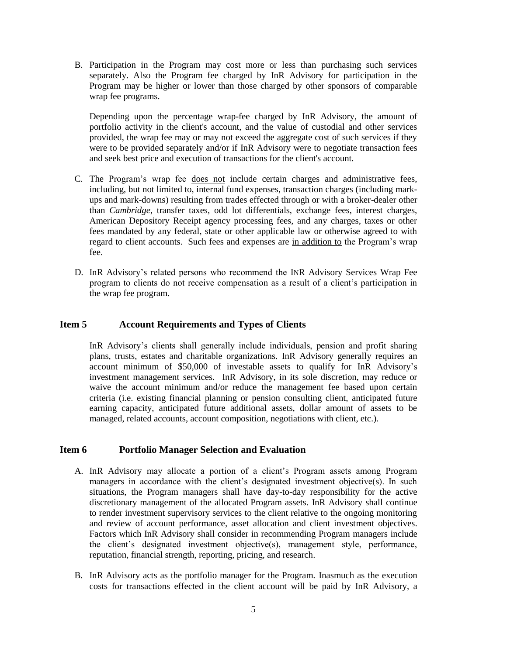B. Participation in the Program may cost more or less than purchasing such services separately. Also the Program fee charged by InR Advisory for participation in the Program may be higher or lower than those charged by other sponsors of comparable wrap fee programs.

Depending upon the percentage wrap-fee charged by InR Advisory, the amount of portfolio activity in the client's account, and the value of custodial and other services provided, the wrap fee may or may not exceed the aggregate cost of such services if they were to be provided separately and/or if InR Advisory were to negotiate transaction fees and seek best price and execution of transactions for the client's account.

- C. The Program's wrap fee does not include certain charges and administrative fees, including, but not limited to, internal fund expenses, transaction charges (including markups and mark-downs) resulting from trades effected through or with a broker-dealer other than *Cambridge*, transfer taxes, odd lot differentials, exchange fees, interest charges, American Depository Receipt agency processing fees, and any charges, taxes or other fees mandated by any federal, state or other applicable law or otherwise agreed to with regard to client accounts. Such fees and expenses are in addition to the Program's wrap fee.
- D. InR Advisory's related persons who recommend the INR Advisory Services Wrap Fee program to clients do not receive compensation as a result of a client's participation in the wrap fee program.

# <span id="page-4-0"></span>**Item 5 Account Requirements and Types of Clients**

InR Advisory's clients shall generally include individuals, pension and profit sharing plans, trusts, estates and charitable organizations. InR Advisory generally requires an account minimum of \$50,000 of investable assets to qualify for InR Advisory's investment management services. InR Advisory, in its sole discretion, may reduce or waive the account minimum and/or reduce the management fee based upon certain criteria (i.e. existing financial planning or pension consulting client, anticipated future earning capacity, anticipated future additional assets, dollar amount of assets to be managed, related accounts, account composition, negotiations with client, etc.).

#### <span id="page-4-1"></span>**Item 6 Portfolio Manager Selection and Evaluation**

- A. InR Advisory may allocate a portion of a client's Program assets among Program managers in accordance with the client's designated investment objective(s). In such situations, the Program managers shall have day-to-day responsibility for the active discretionary management of the allocated Program assets. InR Advisory shall continue to render investment supervisory services to the client relative to the ongoing monitoring and review of account performance, asset allocation and client investment objectives. Factors which InR Advisory shall consider in recommending Program managers include the client's designated investment objective(s), management style, performance, reputation, financial strength, reporting, pricing, and research.
- B. InR Advisory acts as the portfolio manager for the Program. Inasmuch as the execution costs for transactions effected in the client account will be paid by InR Advisory, a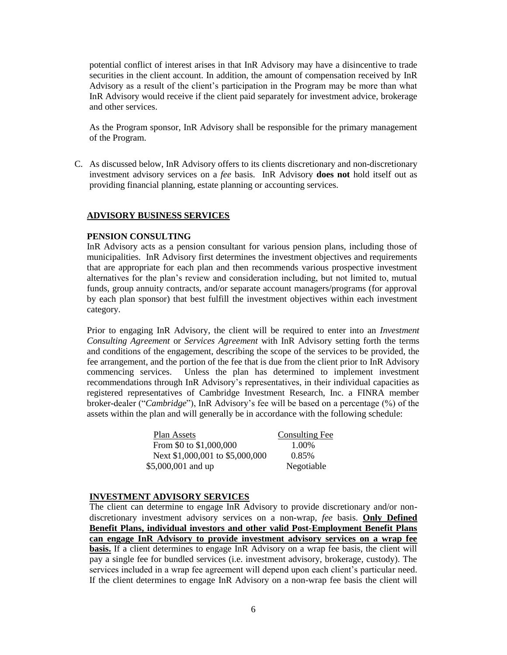potential conflict of interest arises in that InR Advisory may have a disincentive to trade securities in the client account. In addition, the amount of compensation received by InR Advisory as a result of the client's participation in the Program may be more than what InR Advisory would receive if the client paid separately for investment advice, brokerage and other services.

As the Program sponsor, InR Advisory shall be responsible for the primary management of the Program.

C. As discussed below, InR Advisory offers to its clients discretionary and non-discretionary investment advisory services on a *fee* basis. InR Advisory **does not** hold itself out as providing financial planning, estate planning or accounting services.

#### **ADVISORY BUSINESS SERVICES**

#### **PENSION CONSULTING**

InR Advisory acts as a pension consultant for various pension plans, including those of municipalities. InR Advisory first determines the investment objectives and requirements that are appropriate for each plan and then recommends various prospective investment alternatives for the plan's review and consideration including, but not limited to, mutual funds, group annuity contracts, and/or separate account managers/programs (for approval by each plan sponsor) that best fulfill the investment objectives within each investment category.

Prior to engaging InR Advisory, the client will be required to enter into an *Investment Consulting Agreement* or *Services Agreement* with InR Advisory setting forth the terms and conditions of the engagement, describing the scope of the services to be provided, the fee arrangement, and the portion of the fee that is due from the client prior to InR Advisory commencing services. Unless the plan has determined to implement investment recommendations through InR Advisory's representatives, in their individual capacities as registered representatives of Cambridge Investment Research, Inc. a FINRA member broker-dealer ("*Cambridge*"), InR Advisory's fee will be based on a percentage (%) of the assets within the plan and will generally be in accordance with the following schedule:

| Plan Assets                     | Consulting Fee |
|---------------------------------|----------------|
| From \$0 to \$1,000,000         | 1.00%          |
| Next \$1,000,001 to \$5,000,000 | 0.85%          |
| \$5,000,001 and up              | Negotiable     |

#### **INVESTMENT ADVISORY SERVICES**

The client can determine to engage InR Advisory to provide discretionary and/or nondiscretionary investment advisory services on a non-wrap, *fee* basis. **Only Defined Benefit Plans, individual investors and other valid Post-Employment Benefit Plans can engage InR Advisory to provide investment advisory services on a wrap fee basis.** If a client determines to engage InR Advisory on a wrap fee basis, the client will pay a single fee for bundled services (i.e. investment advisory, brokerage, custody). The services included in a wrap fee agreement will depend upon each client's particular need. If the client determines to engage InR Advisory on a non-wrap fee basis the client will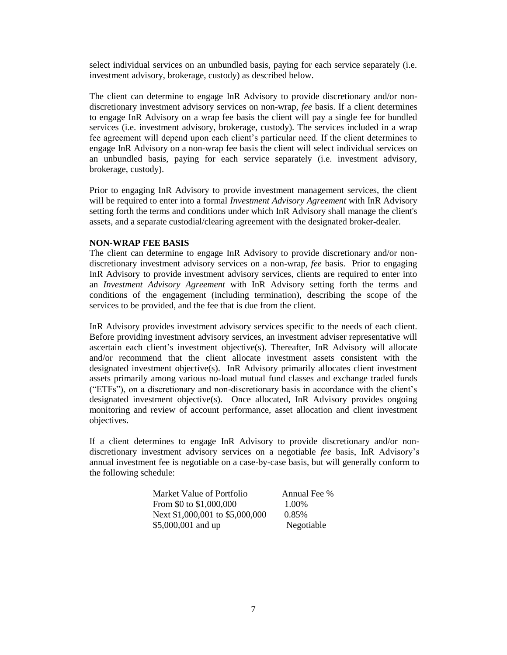select individual services on an unbundled basis, paying for each service separately (i.e. investment advisory, brokerage, custody) as described below.

The client can determine to engage InR Advisory to provide discretionary and/or nondiscretionary investment advisory services on non-wrap, *fee* basis. If a client determines to engage InR Advisory on a wrap fee basis the client will pay a single fee for bundled services (i.e. investment advisory, brokerage, custody). The services included in a wrap fee agreement will depend upon each client's particular need. If the client determines to engage InR Advisory on a non-wrap fee basis the client will select individual services on an unbundled basis, paying for each service separately (i.e. investment advisory, brokerage, custody).

Prior to engaging InR Advisory to provide investment management services, the client will be required to enter into a formal *Investment Advisory Agreement* with InR Advisory setting forth the terms and conditions under which InR Advisory shall manage the client's assets, and a separate custodial/clearing agreement with the designated broker-dealer.

#### **NON-WRAP FEE BASIS**

The client can determine to engage InR Advisory to provide discretionary and/or nondiscretionary investment advisory services on a non-wrap, *fee* basis. Prior to engaging InR Advisory to provide investment advisory services, clients are required to enter into an *Investment Advisory Agreement* with InR Advisory setting forth the terms and conditions of the engagement (including termination), describing the scope of the services to be provided, and the fee that is due from the client.

InR Advisory provides investment advisory services specific to the needs of each client. Before providing investment advisory services, an investment adviser representative will ascertain each client's investment objective(s). Thereafter, InR Advisory will allocate and/or recommend that the client allocate investment assets consistent with the designated investment objective(s). InR Advisory primarily allocates client investment assets primarily among various no-load mutual fund classes and exchange traded funds ("ETFs"), on a discretionary and non-discretionary basis in accordance with the client's designated investment objective(s). Once allocated, InR Advisory provides ongoing monitoring and review of account performance, asset allocation and client investment objectives.

If a client determines to engage InR Advisory to provide discretionary and/or nondiscretionary investment advisory services on a negotiable *fee* basis, InR Advisory's annual investment fee is negotiable on a case-by-case basis, but will generally conform to the following schedule:

| Market Value of Portfolio       | Annual Fee % |
|---------------------------------|--------------|
| From \$0 to \$1,000,000         | 1.00%        |
| Next \$1,000,001 to \$5,000,000 | 0.85%        |
| \$5,000,001 and up              | Negotiable   |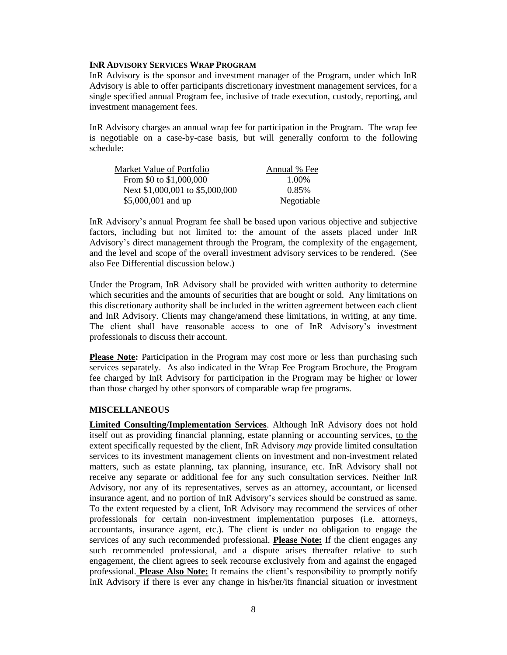#### **INR ADVISORY SERVICES WRAP PROGRAM**

InR Advisory is the sponsor and investment manager of the Program, under which InR Advisory is able to offer participants discretionary investment management services, for a single specified annual Program fee, inclusive of trade execution, custody, reporting, and investment management fees.

InR Advisory charges an annual wrap fee for participation in the Program. The wrap fee is negotiable on a case-by-case basis, but will generally conform to the following schedule:

| Market Value of Portfolio       | Annual % Fee |
|---------------------------------|--------------|
| From \$0 to \$1,000,000         | 1.00%        |
| Next \$1,000,001 to \$5,000,000 | 0.85%        |
| \$5,000,001 and up              | Negotiable   |

InR Advisory's annual Program fee shall be based upon various objective and subjective factors, including but not limited to: the amount of the assets placed under InR Advisory's direct management through the Program, the complexity of the engagement, and the level and scope of the overall investment advisory services to be rendered. (See also Fee Differential discussion below.)

Under the Program, InR Advisory shall be provided with written authority to determine which securities and the amounts of securities that are bought or sold. Any limitations on this discretionary authority shall be included in the written agreement between each client and InR Advisory. Clients may change/amend these limitations, in writing, at any time. The client shall have reasonable access to one of InR Advisory's investment professionals to discuss their account.

**Please Note:** Participation in the Program may cost more or less than purchasing such services separately. As also indicated in the Wrap Fee Program Brochure, the Program fee charged by InR Advisory for participation in the Program may be higher or lower than those charged by other sponsors of comparable wrap fee programs.

### **MISCELLANEOUS**

**Limited Consulting/Implementation Services**. Although InR Advisory does not hold itself out as providing financial planning, estate planning or accounting services, to the extent specifically requested by the client, InR Advisory *may* provide limited consultation services to its investment management clients on investment and non-investment related matters, such as estate planning, tax planning, insurance, etc. InR Advisory shall not receive any separate or additional fee for any such consultation services. Neither InR Advisory, nor any of its representatives, serves as an attorney, accountant, or licensed insurance agent, and no portion of InR Advisory's services should be construed as same. To the extent requested by a client, InR Advisory may recommend the services of other professionals for certain non-investment implementation purposes (i.e. attorneys, accountants, insurance agent, etc.). The client is under no obligation to engage the services of any such recommended professional. **Please Note:** If the client engages any such recommended professional, and a dispute arises thereafter relative to such engagement, the client agrees to seek recourse exclusively from and against the engaged professional. **Please Also Note:** It remains the client's responsibility to promptly notify InR Advisory if there is ever any change in his/her/its financial situation or investment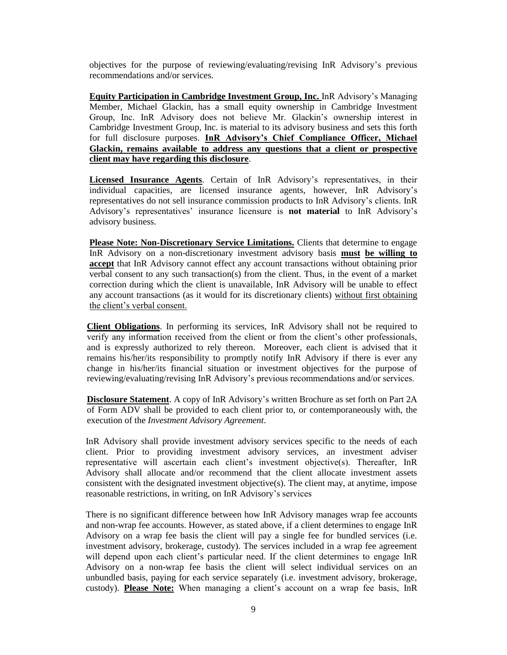objectives for the purpose of reviewing/evaluating/revising InR Advisory's previous recommendations and/or services.

**Equity Participation in Cambridge Investment Group, Inc.** InR Advisory's Managing Member, Michael Glackin, has a small equity ownership in Cambridge Investment Group, Inc. InR Advisory does not believe Mr. Glackin's ownership interest in Cambridge Investment Group, Inc. is material to its advisory business and sets this forth for full disclosure purposes. **InR Advisory's Chief Compliance Officer, Michael Glackin, remains available to address any questions that a client or prospective client may have regarding this disclosure**.

**Licensed Insurance Agents**. Certain of InR Advisory's representatives, in their individual capacities, are licensed insurance agents, however, InR Advisory's representatives do not sell insurance commission products to InR Advisory's clients. InR Advisory's representatives' insurance licensure is **not material** to InR Advisory's advisory business.

**Please Note: Non-Discretionary Service Limitations.** Clients that determine to engage InR Advisory on a non-discretionary investment advisory basis **must be willing to accept** that InR Advisory cannot effect any account transactions without obtaining prior verbal consent to any such transaction(s) from the client. Thus, in the event of a market correction during which the client is unavailable, InR Advisory will be unable to effect any account transactions (as it would for its discretionary clients) without first obtaining the client's verbal consent.

**Client Obligations**. In performing its services, InR Advisory shall not be required to verify any information received from the client or from the client's other professionals, and is expressly authorized to rely thereon. Moreover, each client is advised that it remains his/her/its responsibility to promptly notify InR Advisory if there is ever any change in his/her/its financial situation or investment objectives for the purpose of reviewing/evaluating/revising InR Advisory's previous recommendations and/or services.

**Disclosure Statement**. A copy of InR Advisory's written Brochure as set forth on Part 2A of Form ADV shall be provided to each client prior to, or contemporaneously with, the execution of the *Investment Advisory Agreement*.

InR Advisory shall provide investment advisory services specific to the needs of each client. Prior to providing investment advisory services, an investment adviser representative will ascertain each client's investment objective(s). Thereafter, InR Advisory shall allocate and/or recommend that the client allocate investment assets consistent with the designated investment objective(s). The client may, at anytime, impose reasonable restrictions, in writing, on InR Advisory's services

There is no significant difference between how InR Advisory manages wrap fee accounts and non-wrap fee accounts. However, as stated above, if a client determines to engage InR Advisory on a wrap fee basis the client will pay a single fee for bundled services (i.e. investment advisory, brokerage, custody). The services included in a wrap fee agreement will depend upon each client's particular need. If the client determines to engage InR Advisory on a non-wrap fee basis the client will select individual services on an unbundled basis, paying for each service separately (i.e. investment advisory, brokerage, custody). **Please Note:** When managing a client's account on a wrap fee basis, InR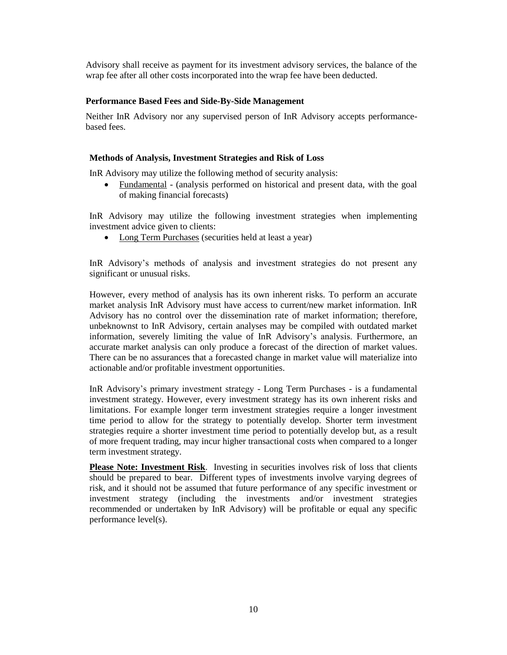Advisory shall receive as payment for its investment advisory services, the balance of the wrap fee after all other costs incorporated into the wrap fee have been deducted.

# **Performance Based Fees and Side-By-Side Management**

Neither InR Advisory nor any supervised person of InR Advisory accepts performancebased fees.

### **Methods of Analysis, Investment Strategies and Risk of Loss**

InR Advisory may utilize the following method of security analysis:

 Fundamental - (analysis performed on historical and present data, with the goal of making financial forecasts)

InR Advisory may utilize the following investment strategies when implementing investment advice given to clients:

• Long Term Purchases (securities held at least a year)

InR Advisory's methods of analysis and investment strategies do not present any significant or unusual risks.

However, every method of analysis has its own inherent risks. To perform an accurate market analysis InR Advisory must have access to current/new market information. InR Advisory has no control over the dissemination rate of market information; therefore, unbeknownst to InR Advisory, certain analyses may be compiled with outdated market information, severely limiting the value of InR Advisory's analysis. Furthermore, an accurate market analysis can only produce a forecast of the direction of market values. There can be no assurances that a forecasted change in market value will materialize into actionable and/or profitable investment opportunities.

InR Advisory's primary investment strategy - Long Term Purchases - is a fundamental investment strategy. However, every investment strategy has its own inherent risks and limitations. For example longer term investment strategies require a longer investment time period to allow for the strategy to potentially develop. Shorter term investment strategies require a shorter investment time period to potentially develop but, as a result of more frequent trading, may incur higher transactional costs when compared to a longer term investment strategy.

**Please Note: Investment Risk**. Investing in securities involves risk of loss that clients should be prepared to bear. Different types of investments involve varying degrees of risk, and it should not be assumed that future performance of any specific investment or investment strategy (including the investments and/or investment strategies recommended or undertaken by InR Advisory) will be profitable or equal any specific performance level(s).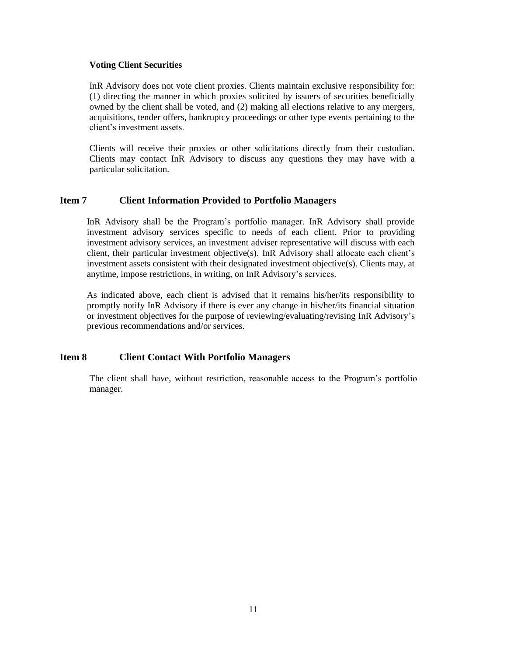#### **Voting Client Securities**

InR Advisory does not vote client proxies. Clients maintain exclusive responsibility for: (1) directing the manner in which proxies solicited by issuers of securities beneficially owned by the client shall be voted, and (2) making all elections relative to any mergers, acquisitions, tender offers, bankruptcy proceedings or other type events pertaining to the client's investment assets.

Clients will receive their proxies or other solicitations directly from their custodian. Clients may contact InR Advisory to discuss any questions they may have with a particular solicitation.

# <span id="page-10-0"></span>**Item 7 Client Information Provided to Portfolio Managers**

InR Advisory shall be the Program's portfolio manager. InR Advisory shall provide investment advisory services specific to needs of each client. Prior to providing investment advisory services, an investment adviser representative will discuss with each client, their particular investment objective(s). InR Advisory shall allocate each client's investment assets consistent with their designated investment objective(s). Clients may, at anytime, impose restrictions, in writing, on InR Advisory's services.

As indicated above, each client is advised that it remains his/her/its responsibility to promptly notify InR Advisory if there is ever any change in his/her/its financial situation or investment objectives for the purpose of reviewing/evaluating/revising InR Advisory's previous recommendations and/or services.

# <span id="page-10-1"></span>**Item 8 Client Contact With Portfolio Managers**

<span id="page-10-2"></span>The client shall have, without restriction, reasonable access to the Program's portfolio manager.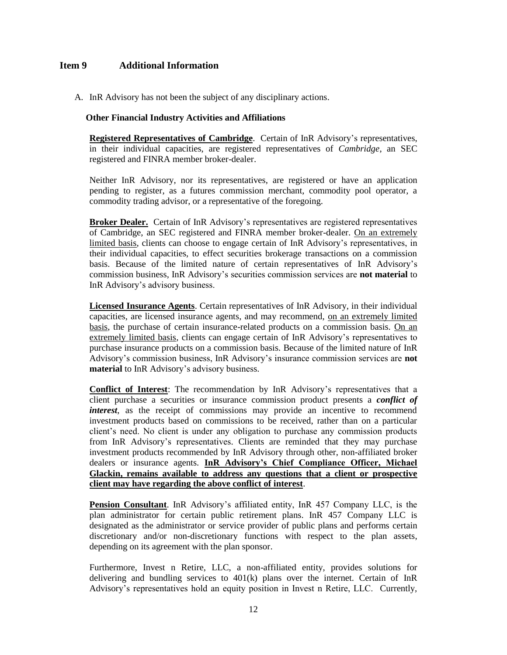# **Item 9 Additional Information**

A. InR Advisory has not been the subject of any disciplinary actions.

#### **Other Financial Industry Activities and Affiliations**

**Registered Representatives of Cambridge**.Certain of InR Advisory's representatives, in their individual capacities, are registered representatives of *Cambridge*, an SEC registered and FINRA member broker-dealer.

Neither InR Advisory, nor its representatives, are registered or have an application pending to register, as a futures commission merchant, commodity pool operator, a commodity trading advisor, or a representative of the foregoing.

**Broker Dealer.** Certain of InR Advisory's representatives are registered representatives of Cambridge, an SEC registered and FINRA member broker-dealer. On an extremely limited basis, clients can choose to engage certain of InR Advisory's representatives, in their individual capacities, to effect securities brokerage transactions on a commission basis. Because of the limited nature of certain representatives of InR Advisory's commission business, InR Advisory's securities commission services are **not material** to InR Advisory's advisory business.

**Licensed Insurance Agents**. Certain representatives of InR Advisory, in their individual capacities, are licensed insurance agents, and may recommend, on an extremely limited basis, the purchase of certain insurance-related products on a commission basis. On an extremely limited basis, clients can engage certain of InR Advisory's representatives to purchase insurance products on a commission basis. Because of the limited nature of InR Advisory's commission business, InR Advisory's insurance commission services are **not material** to InR Advisory's advisory business.

**Conflict of Interest**: The recommendation by InR Advisory's representatives that a client purchase a securities or insurance commission product presents a *conflict of interest*, as the receipt of commissions may provide an incentive to recommend investment products based on commissions to be received, rather than on a particular client's need. No client is under any obligation to purchase any commission products from InR Advisory's representatives. Clients are reminded that they may purchase investment products recommended by InR Advisory through other, non-affiliated broker dealers or insurance agents. **InR Advisory's Chief Compliance Officer, Michael Glackin, remains available to address any questions that a client or prospective client may have regarding the above conflict of interest**.

**Pension Consultant**. InR Advisory's affiliated entity, InR 457 Company LLC, is the plan administrator for certain public retirement plans. InR 457 Company LLC is designated as the administrator or service provider of public plans and performs certain discretionary and/or non-discretionary functions with respect to the plan assets, depending on its agreement with the plan sponsor.

Furthermore, Invest n Retire, LLC, a non-affiliated entity, provides solutions for delivering and bundling services to 401(k) plans over the internet. Certain of InR Advisory's representatives hold an equity position in Invest n Retire, LLC. Currently,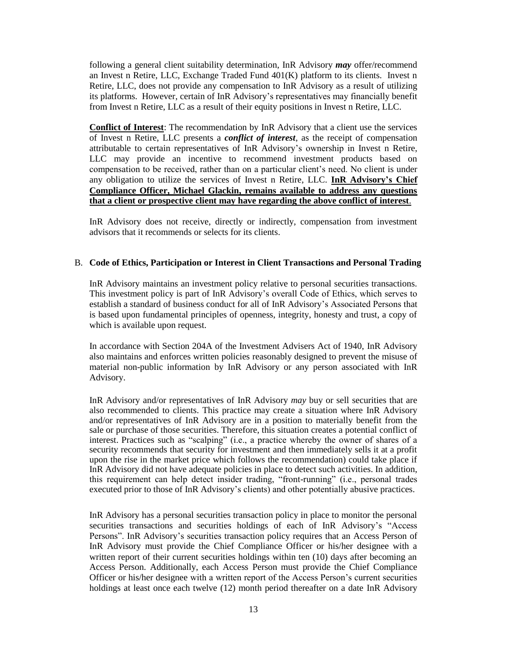following a general client suitability determination, InR Advisory *may* offer/recommend an Invest n Retire, LLC, Exchange Traded Fund 401(K) platform to its clients. Invest n Retire, LLC, does not provide any compensation to InR Advisory as a result of utilizing its platforms. However, certain of InR Advisory's representatives may financially benefit from Invest n Retire, LLC as a result of their equity positions in Invest n Retire, LLC.

**Conflict of Interest**: The recommendation by InR Advisory that a client use the services of Invest n Retire, LLC presents a *conflict of interest*, as the receipt of compensation attributable to certain representatives of InR Advisory's ownership in Invest n Retire, LLC may provide an incentive to recommend investment products based on compensation to be received, rather than on a particular client's need. No client is under any obligation to utilize the services of Invest n Retire, LLC. **InR Advisory's Chief Compliance Officer, Michael Glackin, remains available to address any questions that a client or prospective client may have regarding the above conflict of interest**.

InR Advisory does not receive, directly or indirectly, compensation from investment advisors that it recommends or selects for its clients.

#### B. **Code of Ethics, Participation or Interest in Client Transactions and Personal Trading**

InR Advisory maintains an investment policy relative to personal securities transactions. This investment policy is part of InR Advisory's overall Code of Ethics, which serves to establish a standard of business conduct for all of InR Advisory's Associated Persons that is based upon fundamental principles of openness, integrity, honesty and trust, a copy of which is available upon request.

In accordance with Section 204A of the Investment Advisers Act of 1940, InR Advisory also maintains and enforces written policies reasonably designed to prevent the misuse of material non-public information by InR Advisory or any person associated with InR Advisory.

InR Advisory and/or representatives of InR Advisory *may* buy or sell securities that are also recommended to clients. This practice may create a situation where InR Advisory and/or representatives of InR Advisory are in a position to materially benefit from the sale or purchase of those securities. Therefore, this situation creates a potential conflict of interest. Practices such as "scalping" (i.e., a practice whereby the owner of shares of a security recommends that security for investment and then immediately sells it at a profit upon the rise in the market price which follows the recommendation) could take place if InR Advisory did not have adequate policies in place to detect such activities. In addition, this requirement can help detect insider trading, "front-running" (i.e., personal trades executed prior to those of InR Advisory's clients) and other potentially abusive practices.

InR Advisory has a personal securities transaction policy in place to monitor the personal securities transactions and securities holdings of each of InR Advisory's "Access Persons". InR Advisory's securities transaction policy requires that an Access Person of InR Advisory must provide the Chief Compliance Officer or his/her designee with a written report of their current securities holdings within ten (10) days after becoming an Access Person. Additionally, each Access Person must provide the Chief Compliance Officer or his/her designee with a written report of the Access Person's current securities holdings at least once each twelve (12) month period thereafter on a date InR Advisory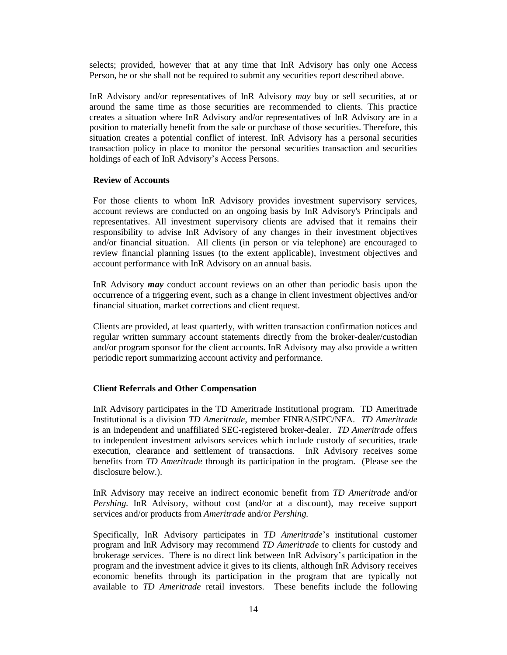selects; provided, however that at any time that InR Advisory has only one Access Person, he or she shall not be required to submit any securities report described above.

InR Advisory and/or representatives of InR Advisory *may* buy or sell securities, at or around the same time as those securities are recommended to clients. This practice creates a situation where InR Advisory and/or representatives of InR Advisory are in a position to materially benefit from the sale or purchase of those securities. Therefore, this situation creates a potential conflict of interest. InR Advisory has a personal securities transaction policy in place to monitor the personal securities transaction and securities holdings of each of InR Advisory's Access Persons.

#### **Review of Accounts**

For those clients to whom InR Advisory provides investment supervisory services, account reviews are conducted on an ongoing basis by InR Advisory's Principals and representatives. All investment supervisory clients are advised that it remains their responsibility to advise InR Advisory of any changes in their investment objectives and/or financial situation. All clients (in person or via telephone) are encouraged to review financial planning issues (to the extent applicable), investment objectives and account performance with InR Advisory on an annual basis.

InR Advisory *may* conduct account reviews on an other than periodic basis upon the occurrence of a triggering event, such as a change in client investment objectives and/or financial situation, market corrections and client request.

Clients are provided, at least quarterly, with written transaction confirmation notices and regular written summary account statements directly from the broker-dealer/custodian and/or program sponsor for the client accounts. InR Advisory may also provide a written periodic report summarizing account activity and performance.

#### **Client Referrals and Other Compensation**

InR Advisory participates in the TD Ameritrade Institutional program. TD Ameritrade Institutional is a division *TD Ameritrade*, member FINRA/SIPC/NFA. *TD Ameritrade* is an independent and unaffiliated SEC-registered broker-dealer. *TD Ameritrade* offers to independent investment advisors services which include custody of securities, trade execution, clearance and settlement of transactions. InR Advisory receives some benefits from *TD Ameritrade* through its participation in the program. (Please see the disclosure below.).

InR Advisory may receive an indirect economic benefit from *TD Ameritrade* and/or *Pershing.* InR Advisory, without cost (and/or at a discount), may receive support services and/or products from *Ameritrade* and/or *Pershing.*

Specifically, InR Advisory participates in *TD Ameritrade*'s institutional customer program and InR Advisory may recommend *TD Ameritrade* to clients for custody and brokerage services. There is no direct link between InR Advisory's participation in the program and the investment advice it gives to its clients, although InR Advisory receives economic benefits through its participation in the program that are typically not available to *TD Ameritrade* retail investors. These benefits include the following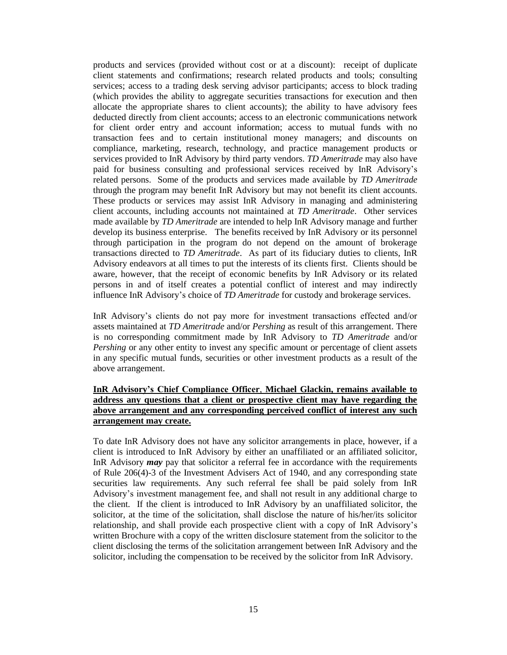products and services (provided without cost or at a discount): receipt of duplicate client statements and confirmations; research related products and tools; consulting services; access to a trading desk serving advisor participants; access to block trading (which provides the ability to aggregate securities transactions for execution and then allocate the appropriate shares to client accounts); the ability to have advisory fees deducted directly from client accounts; access to an electronic communications network for client order entry and account information; access to mutual funds with no transaction fees and to certain institutional money managers; and discounts on compliance, marketing, research, technology, and practice management products or services provided to InR Advisory by third party vendors. *TD Ameritrade* may also have paid for business consulting and professional services received by InR Advisory's related persons. Some of the products and services made available by *TD Ameritrade* through the program may benefit InR Advisory but may not benefit its client accounts. These products or services may assist InR Advisory in managing and administering client accounts, including accounts not maintained at *TD Ameritrade*. Other services made available by *TD Ameritrade* are intended to help InR Advisory manage and further develop its business enterprise. The benefits received by InR Advisory or its personnel through participation in the program do not depend on the amount of brokerage transactions directed to *TD Ameritrade*. As part of its fiduciary duties to clients, InR Advisory endeavors at all times to put the interests of its clients first. Clients should be aware, however, that the receipt of economic benefits by InR Advisory or its related persons in and of itself creates a potential conflict of interest and may indirectly influence InR Advisory's choice of *TD Ameritrade* for custody and brokerage services.

InR Advisory's clients do not pay more for investment transactions effected and/or assets maintained at *TD Ameritrade* and/or *Pershing* as result of this arrangement. There is no corresponding commitment made by InR Advisory to *TD Ameritrade* and/or *Pershing* or any other entity to invest any specific amount or percentage of client assets in any specific mutual funds, securities or other investment products as a result of the above arrangement.

# **InR Advisory's Chief Compliance Officer**, **Michael Glackin, remains available to address any questions that a client or prospective client may have regarding the above arrangement and any corresponding perceived conflict of interest any such arrangement may create.**

To date InR Advisory does not have any solicitor arrangements in place, however, if a client is introduced to InR Advisory by either an unaffiliated or an affiliated solicitor, InR Advisory *may* pay that solicitor a referral fee in accordance with the requirements of Rule 206(4)-3 of the Investment Advisers Act of 1940, and any corresponding state securities law requirements. Any such referral fee shall be paid solely from InR Advisory's investment management fee, and shall not result in any additional charge to the client. If the client is introduced to InR Advisory by an unaffiliated solicitor, the solicitor, at the time of the solicitation, shall disclose the nature of his/her/its solicitor relationship, and shall provide each prospective client with a copy of InR Advisory's written Brochure with a copy of the written disclosure statement from the solicitor to the client disclosing the terms of the solicitation arrangement between InR Advisory and the solicitor, including the compensation to be received by the solicitor from InR Advisory.